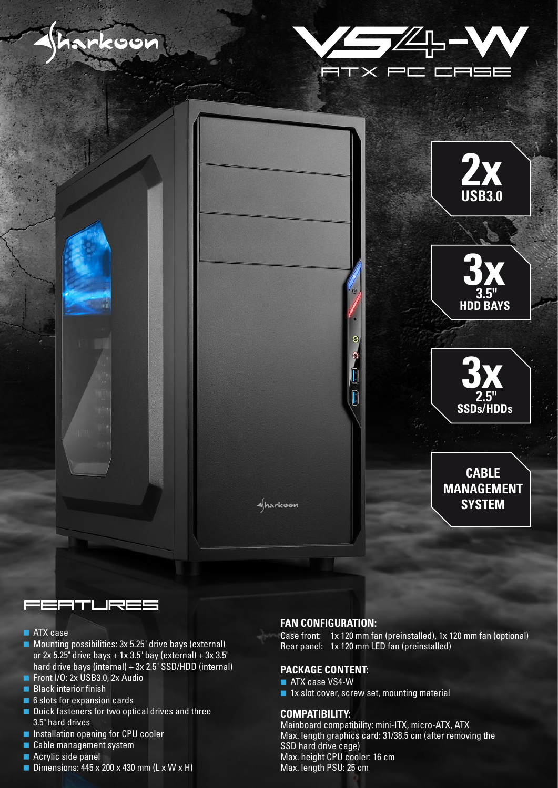





### FEATURES

- **ATX** case
- **Mounting possibilities: 3x 5.25" drive bays (external)** or  $2x$  5.25" drive bays + 1x 3.5" bay (external) + 3x 3.5" hard drive bays (internal) + 3x 2.5" SSD/HDD (internal)
- Front I/O: 2x USB3.0, 2x Audio
- **Black interior finish**
- 6 slots for expansion cards
- Quick fasteners for two optical drives and three 3.5" hard drives
- **Installation opening for CPU cooler**
- Cable management system
- Acrylic side panel
- Dimensions:  $445 \times 200 \times 430$  mm (L x W x H)

#### **FAN CONFIGURATION:**

Case front: 1x 120 mm fan (preinstalled), 1x 120 mm fan (optional) Rear panel: 1x 120 mm LED fan (preinstalled)

#### **PACKAGE CONTENT:**

- ATX case VS4-W
- 1x slot cover, screw set, mounting material

#### **COMPATIBILITY:**

Mainboard compatibility: mini-ITX, micro-ATX, ATX Max. length graphics card: 31/38.5 cm (after removing the SSD hard drive cage) Max. height CPU cooler: 16 cm Max. length PSU: 25 cm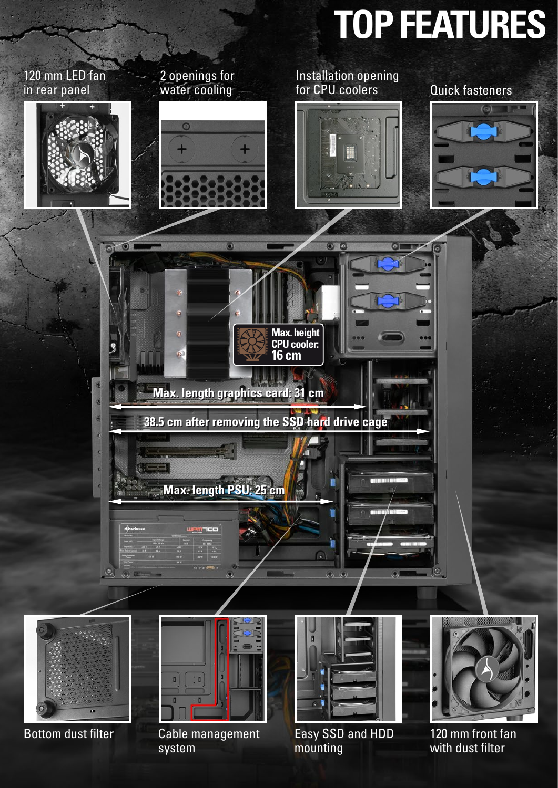# **TOP FEATURES**



Bottom dust filter hand Cable management has been been and HDD and 120 mm front fan Cable management system

mounting

with dust filter